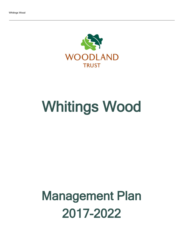

# Whitings Wood

## Management Plan 2017-2022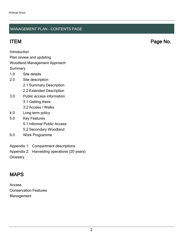#### MANAGEMENT PLAN - CONTENTS PAGE

ITEM Page No.

Introduction

Plan review and updating

#### Woodland Management Approach

**Summary** 

- 1.0 Site details
- 2.0 Site description
	- 2.1 Summary Description
	- 2.2 Extended Description
- 3.0 Public access information
	- 3.1 Getting there
	- 3.2 Access / Walks
- 4.0 Long term policy
- 5.0 Key Features
	- 5.1 Informal Public Access
	- 5.2 Secondary Woodland
- 6.0 Work Programme
- Appendix 1: Compartment descriptions
- Appendix 2: Harvesting operations (20 years)

**Glossary** 

## MAPS

Access Conservation Features Management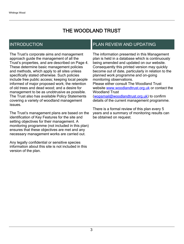## THE WOODLAND TRUST

## INTRODUCTION

The Trust's corporate aims and management approach guide the management of all the Trust's properties, and are described on Page 4. These determine basic management policies and methods, which apply to all sites unless specifically stated otherwise. Such policies include free public access; keeping local people informed of major proposed work; the retention of old trees and dead wood; and a desire for management to be as unobtrusive as possible. The Trust also has available Policy Statements covering a variety of woodland management issues.

The Trust's management plans are based on the identification of Key Features for the site and setting objectives for their management. A monitoring programme (not included in this plan) ensures that these objectives are met and any necessary management works are carried out.

Any legally confidential or sensitive species information about this site is not included in this version of the plan.

## PLAN REVIEW AND UPDATING

The information presented in this Management plan is held in a database which is continuously being amended and updated on our website. Consequently this printed version may quickly become out of date, particularly in relation to the planned work programme and on-going monitoring observations. Please either consult The Woodland Trust website [www.woodlandtrust.org.uk](http://www.woodlandtrust.org.uk/) or contact the Woodland Trust [\(wopsmail@woodlandtrust.org.uk](mailto:wopsmail@woodlandtrust.org.uk)) to confirm

details of the current management programme.

There is a formal review of this plan every 5 years and a summary of monitoring results can be obtained on request.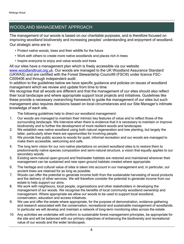## WOODLAND MANAGEMENT APPROACH

The management of our woods is based on our charitable purposes, and is therefore focused on improving woodland biodiversity and increasing peoples' understanding and enjoyment of woodland. Our strategic aims are to:

- Protect native woods, trees and their wildlife for the future
- Work with others to create more native woodlands and places rich in trees
- Inspire everyone to enjoy and value woods and trees

All our sites have a management plan which is freely accessible via our website [www.woodlandtrust.org.uk.](http://www.woodlandtrust.org.uk/) Our woods are managed to the UK Woodland Assurance Standard (UKWAS) and are certified with the Forest Stewardship Council® (FSC®) under licence FSC-C009406 and through independent audit.

In addition to the guidelines below we have specific guidance and policies on issues of woodland management which we review and update from time to time.

We recognise that all woods are different and that the management of our sites should also reflect their local landscape and where appropriate support local projects and initiatives. Guidelines like these provide a necessary overarching framework to guide the management of our sites but such management also requires decisions based on local circumstances and our Site Manager's intimate knowledge of each site.

The following guidelines help to direct our woodland management:

- 1. Our woods are managed to maintain their intrinsic key features of value and to reflect those of the surrounding landscape. We intervene when there is evidence that it is necessary to maintain or improve biodiversity and to further the development of more resilient woods and landscapes.
- 2. We establish new native woodland using both natural regeneration and tree planting, but largely the latter, particularly when there are opportunities for involving people.
- 3. We provide free public access to woods for quiet, informal recreation and our woods are managed to make them accessible, welcoming and safe.
- 4. The long term vision for our non-native plantations on ancient woodland sites is to restore them to predominantly native species composition and semi-natural structure, a vision that equally applies to our secondary woods.
- 5. Existing semi-natural open-ground and freshwater habitats are restored and maintained wherever their management can be sustained and new open ground habitats created where appropriate.
- 6. The heritage and cultural value of sites is taken into account in our management and, in particular, our ancient trees are retained for as long as possible.
- 7. Woods can offer the potential to generate income both from the sustainable harvesting of wood products and the delivery of other services. We will therefore consider the potential to generate income from our estate to help support our aims.
- 8. We work with neighbours, local people, organisations and other stakeholders in developing the management of our woods. We recognise the benefits of local community woodland ownership and management. Where appropriate we allow our woods to be used to support local woodland, conservation, education and access initiatives.
- 9. We use and offer the estate where appropriate, for the purpose of demonstration, evidence gathering and research associated with the conservation, recreational and sustainable management of woodlands. In particular we will develop and maintain a network of long-term monitoring sites across the estate.
- 10 Any activities we undertake will conform to sustainable forest management principles, be appropriate for the site and will be balanced with our primary objectives of enhancing the biodiversity and recreational value of our woods and the wider landscapes.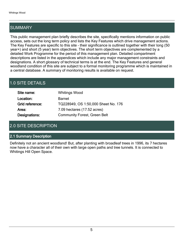## SUMMARY

This public management plan briefly describes the site, specifically mentions information on public access, sets out the long term policy and lists the Key Features which drive management actions. The Key Features are specific to this site - their significance is outlined together with their long (50 year+) and short (5 year) term objectives. The short term objectives are complemented by a detailed Work Programme for the period of this management plan. Detailed compartment descriptions are listed in the appendices which include any major management constraints and designations. A short glossary of technical terms is at the end. The Key Features and general woodland condition of this site are subject to a formal monitoring programme which is maintained in a central database. A summary of monitoring results is available on request.

## 1.0 SITE DETAILS

| Site name:      | <b>Whitings Wood</b>                |
|-----------------|-------------------------------------|
| Location:       | <b>Barnet</b>                       |
| Grid reference: | TQ228949, OS 1:50,000 Sheet No. 176 |
| Area:           | 7.09 hectares (17.52 acres)         |
| Designations:   | <b>Community Forest, Green Belt</b> |

## 2.0 SITE DESCRIPTION

#### 2.1 Summary Description

Definitely not an ancient woodland! But, after planting with broadleaf trees in 1996, its 7 hectares now have a character all of their own with large open paths and tree tunnels. It is connected to Whitings Hill Open Space.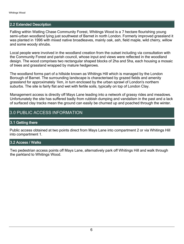#### 2.2 Extended Description

Falling within Watling Chase Community Forest, Whitings Wood is a 7 hectare flourishing young semi-urban woodland lying just southwest of Barnet in north London. Formerly improved grassland it was planted in 1996 with mixed native broadleaves, mainly oak, ash, field maple, wild cherry, willow and some woody shrubs.

Local people were involved in the woodland creation from the outset including via consultation with the Community Forest and parish council, whose input and views were reflected in the woodland design. The wood comprises two rectangular shaped blocks of 2ha and 5ha, each housing a mosaic of trees and grassland wrapped by mature hedgerows.

The woodland forms part of a hillside known as Whitings Hill which is managed by the London Borough of Barnet. The surrounding landscape is characterised by grazed fields and amenity grassland for approximately 1km, in turn enclosed by the urban sprawl of London's northern suburbs. The site is fairly flat and wet with fertile soils, typically on top of London Clay.

Management access is directly off Mays Lane leading into a network of grassy rides and meadows. Unfortunately the site has suffered badly from rubbish dumping and vandalism in the past and a lack of surfaced clay tracks mean the ground can easily be churned up and poached through the winter.

### 3.0 PUBLIC ACCESS INFORMATION

#### 3.1 Getting there

Public access obtained at two points direct from Mays Lane into compartment 2 or via Whitings Hill into compartment 1.

#### 3.2 Access / Walks

Two pedestrian access points off Mays Lane, alternatively park off Whitings Hill and walk through the parkland to Whitings Wood.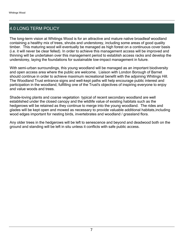## 4.0 LONG TERM POLICY

The long-term vision at Whitings Wood is for an attractive and mature native broadleaf woodland containing a healthy mix of trees, shrubs and understorey, including some areas of good quality timber. This maturing wood will eventually be managed as high forest on a continuous cover basis (i.e. it will never be clear felled). In order to achieve this management access will be improved and thinning will be undertaken over this management period to establish access racks and develop the understorey, laying the foundations for sustainable low-impact management in future.

With semi-urban surroundings, this young woodland will be managed as an important biodiversity and open access area where the public are welcome. Liaison with London Borough of Barnet should continue in order to achieve maximum recreational benefit with the adjoining Whitings Hill. The Woodland Trust entrance signs and well-kept paths will help encourage public interest and participation in the woodland, fulfilling one of the Trust's objectives of inspiring everyone to enjoy and value woods and trees.

Shade-loving plants and coarse vegetation typical of recent secondary woodland are well established under the closed canopy and the wildlife value of existing habitats such as the hedgerows will be retained as they continue to merge into the young woodland. The rides and glades will be kept open and mowed as necessary to provide valuable additional habitats,including wood edges important for nesting birds, invertebrates and woodland / grassland flora.

Any older trees in the hedgerows will be left to senescence and beyond and deadwood both on the ground and standing will be left in situ unless it conflicts with safe public access.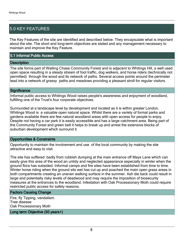## 5.0 KEY FEATURES

The Key Features of the site are identified and described below. They encapsulate what is important about the site. The short and long-term objectives are stated and any management necessary to maintain and improve the Key Feature.

#### 5.1 Informal Public Access

#### **Description**

The site forms part of Watling Chase Community Forest and is adjacent to Whitings Hill, a well used open space resulting in a steady stream of foot traffic, dog walkers, and horse riders (technically not permitted) through the wood and its network of paths. Several access points around the perimeter lead into a network of grassy paths and meadows providing a pleasant stroll for regular visitors.

#### **Significance**

Informal public access to Whitings Wood raises people's awareness and enjoyment of woodland, fulfilling one of the Trust's four corporate objectives.

Surrounded at a landscape level by development and located as it is within greater London, Whitings Wood is a valuable open natural space. Whilst there are a variety of formal parks and gardens available there are few natural woodland areas with open access for people to enjoy. Despite not having a car park it is easily accessible and has a large catchment area. Being part of the Community Forest and green belt it helps to break up and arrest the extensive blocks of suburban development which surround it.

#### Opportunities & Constraints

Opportunity to maintain the involvement and use of the local community by making the site attractive and easy to visit.

The site has suffered badly from rubbish dumping at the main entrance off Mays Lane which can easily give this area of the wood an untidy and neglected appearance especially in winter when the ground flora has subsided. Informal camps and fire sites have been established from time to time. Winter horse riding when the ground sits wet has cut up and poached the main open grass areas in both compartments creating an uneven walking surface in the summer. Ash die back could result in large and potentially risky levels of deadwood and may require the imposition of biosecurity measures at the entrances to the woodland. Infestation with Oak Processionary Moth could require restricted public access for safety reasons.

#### Factors Causing Change

Fire, fly Tipping, vandalism. Tree disease Oak Processionary Moth

Long term Objective (50 years+)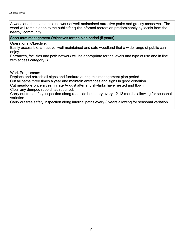A woodland that contains a network of well-maintained attractive paths and grassy meadows. The wood will remain open to the public for quiet informal recreation predominantly by locals from the nearby community.

Short term management Objectives for the plan period (5 years)

Operational Objective:

Easily accessible, attractive, well-maintained and safe woodland that a wide range of public can enjoy.

Entrances, facilities and path network will be appropriate for the levels and type of use and in line with access category B.

Work Programme:

Replace and refresh all signs and furniture during this management plan period

Cut all paths three times a year and maintain entrances and signs in good condition.

Cut meadows once a year in late August after any skylarks have nested and flown.

Clear any dumped rubbish as required.

Carry out tree safety inspection along roadside boundary every 12-18 months allowing for seasonal variation.

Carry out tree safety inspection along internal paths every 3 years allowing for seasonal variation.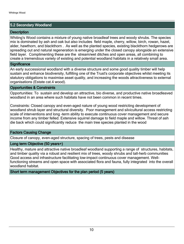#### 5.2 Secondary Woodland

#### **Description**

Whiting's Wood contains a mixture of young native broadleaf trees and woody shrubs. The species mix is dominated by ash and oak but also includes field maple, cherry, willow, birch, rowan, hazel, alder, hawthorn, and blackthorn . As well as the planted species, existing blackthorn hedgerows are spreading out and natural regeneration is emerging under the closed canopy alongside an extensive field layer. Complimenting these are the stream/wet ditches and open areas, all combining to create a tremendous variety of existing and potential woodland habitats in a relatively small area.

#### **Significance**

An early successional woodland with a diverse structure and some good quality timber will help sustain and enhance biodiversity, fulfilling one of the Trust's corporate objectives whilst meeting its statutory obligations to maximise asset quality, and increasing the woods attractiveness to external organisations (Estate cat.4 wood).

#### Opportunities & Constraints

Opportunities: To sustain and develop an attractive, bio diverse, and productive native broadleaved woodland in an area where such habitats have not been common in recent times.

Constraints: Closed canopy and even-aged nature of young wood restricting development of woodland shrub layer and structural diversity. Poor management and silvicultural access restricting scale of interventions and long -term ability to execute continuous cover management and secure income from any timber felled. Extensive squirrel damage to field maple and willow. Threat of ash die back which could significantly reduce the main tree species planted in the wood

#### Factors Causing Change

Closure of canopy, even-aged structure, spacing of trees, pests and disease

#### Long term Objective (50 years+)

Healthy, mature and attractive native broadleaf woodland supporting a range of structures, habitats, and timber quality via a robust and resilient mix of trees, woody shrubs and tall-herb communities Good access and infrastructure facilitating low-impact continuous cover management. Wellfunctioning streams and open space with associated flora and fauna, fully integrated into the overall woodland habitat.

Short term management Objectives for the plan period (5 years)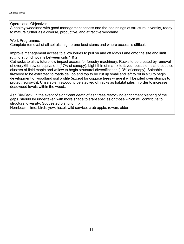Operational Objective:

A healthy woodland with good management access and the beginnings of structural diversity, ready to mature further as a diverse, productive, and attractive woodland

Work Programme:

Complete removal of all spirals, high prune best stems and where access is difficult

Improve management access to allow lorries to pull on and off Mays Lane onto the site and limit rutting at pinch points between cpts 1 & 2.

Cut racks to allow future low impact access for forestry machinery. Racks to be created by removal of every 6th row or equivalent (17% of canopy). Light thin of matrix to favour best stems and coppice clusters of field maple and willow to begin structural diversification (13% of canopy). Saleable firewood to be extracted to roadside, lop and top to be cut up small and left to rot in situ to begin development of woodland soil profile (except for coppice trees where it will be piled over stumps to protect regrowth). Unsalable firewood to be stacked off racks as habitat piles in order to increase deadwood levels within the wood..

Ash Die-Back: In the event of significant death of ash trees restocking/enrichment planting of the gaps should be undertaken with more shade tolerant species or those which will contribute to structural diversity. Suggested planting mix:

Hornbeam, lime, birch, yew, hazel, wild service, crab apple, rowan, alder.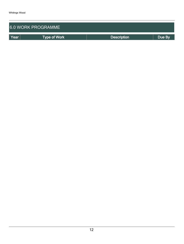| <b>6.0 WORK PROGRAMME</b> |                     |                    |        |  |  |  |  |
|---------------------------|---------------------|--------------------|--------|--|--|--|--|
| Year                      | <b>Type of Work</b> | <b>Description</b> | Due By |  |  |  |  |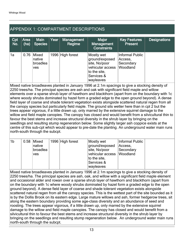## APPENDIX 1: COMPARTMENT DESCRIPTIONS

| Cpt<br>No. | Area<br>(ha) | <b>Main</b><br>Species                    | Year | <b>Management</b><br>Regime | Major<br>Management<br><b>Constraints</b>                                                                    | <b>Key Features</b><br><b>Present</b>               | <b>Designations</b> |
|------------|--------------|-------------------------------------------|------|-----------------------------|--------------------------------------------------------------------------------------------------------------|-----------------------------------------------------|---------------------|
| 1a         | 0.76         | Mixed<br>native<br>broadlea<br><b>ves</b> |      | 1996 High forest            | Mostly wet<br>ground/exposed<br>site, No/poor<br>vehicular access<br>to the site,<br>Services &<br>wayleaves | Informal Public<br>Access,<br>Secondary<br>Woodland |                     |

Mixed native broadleaves planted in January 1996 at 2.1m spacings to give a stocking density of 2250 trees/ha. The principal species are ash and oak with significant field maple and willow elements over a sparse shrub layer of hawthorn and blackthorn (apart from on the boundary with 1c where woody shrubs dominated by hazel form a graded edge to the open ground beyond). A dense field layer of coarse and shade tolerant vegetation exists alongside scattered natural regen from all the canopy species but particularly field maple. The ground sits wetter here than in cpt 2 but the trees appear vigorous, if a little drawn up, only marred by the extensive squirrel damage to the willow and field maple canopies. The canopy has closed and would benefit from a silvicultural thin to favour the best stems and increase structural diversity in the shrub layer by bringing on the seedlings and resulting stump regeneration below. Some slightly larger ash coppice exists at the centre of this sub-cpt which would appear to pre-date the planting. An underground water main runs north-south through the subcpt.

| $^{\dagger}$ 1b | $0.58$ Mixed<br>native<br>broadlea<br>ves | 1996 High forest | Mostly wet<br>ground/exposed<br>site, No/poor<br>vehicular access  Woodland<br>to the site, | Informal Public<br>Access,<br>Secondary |  |
|-----------------|-------------------------------------------|------------------|---------------------------------------------------------------------------------------------|-----------------------------------------|--|
|                 |                                           |                  | Services &                                                                                  |                                         |  |
|                 |                                           |                  | wayleaves                                                                                   |                                         |  |

Mixed native broadleaves planted in January 1996 at 2.1m spacings to give a stocking density of 2250 trees/ha. The principal species are ash, oak, and willow with a significant field maple element and occasional alder and rowan over a sparse shrub layer of hawthorn and blackthorn (apart from on the boundary with 1c where woody shrubs dominated by hazel form a graded edge to the open ground beyond). A dense field layer of coarse and shade tolerant vegetation exists alongside scattered natural regen from all the canopy species. This is the wettest part of the site bounded as it is by the Dollis Brook on its eastern edge. Large mature willows and ash, former hedgerow trees, sit along the eastern boundary providing some age-class diversity and an abundance of seed and roosting. The trees appear vigorous, if a little drawn up, only marred by the extensive squirrel damage to the willow and field maple canopies. The canopy has closed and would benefit from a silvicultural thin to favour the best stems and increase structural diversity in the shrub layer by bringing on the seedlings and resulting stump regeneration below. An underground water main runs north-south through the subcpt.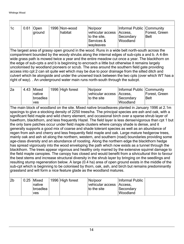| 1 <sub>c</sub>                                                                                                                                                                                                                                                                                                                                                                                                                                                                                                                                                                                                                                                                                                                                                                                                                                                                                                                                                                                                                                                                                                                                                                                                                                                                                                                                                                                                                                                                                                                                                                                                                                    | 0.61                                                                                                                                                                                                                                                                                                                                                                                                                                                                                                                                                                                                                                                                                                                                                                                           | Open<br>ground                     |  | 1996 Non-wood<br>habitat | No/poor<br>vehicular access<br>to the site.<br>Services &<br>wayleaves | Informal Public Community<br>Access.<br>Secondary<br>Woodland | Forest, Green<br><b>Belt</b> |  |
|---------------------------------------------------------------------------------------------------------------------------------------------------------------------------------------------------------------------------------------------------------------------------------------------------------------------------------------------------------------------------------------------------------------------------------------------------------------------------------------------------------------------------------------------------------------------------------------------------------------------------------------------------------------------------------------------------------------------------------------------------------------------------------------------------------------------------------------------------------------------------------------------------------------------------------------------------------------------------------------------------------------------------------------------------------------------------------------------------------------------------------------------------------------------------------------------------------------------------------------------------------------------------------------------------------------------------------------------------------------------------------------------------------------------------------------------------------------------------------------------------------------------------------------------------------------------------------------------------------------------------------------------------|------------------------------------------------------------------------------------------------------------------------------------------------------------------------------------------------------------------------------------------------------------------------------------------------------------------------------------------------------------------------------------------------------------------------------------------------------------------------------------------------------------------------------------------------------------------------------------------------------------------------------------------------------------------------------------------------------------------------------------------------------------------------------------------------|------------------------------------|--|--------------------------|------------------------------------------------------------------------|---------------------------------------------------------------|------------------------------|--|
|                                                                                                                                                                                                                                                                                                                                                                                                                                                                                                                                                                                                                                                                                                                                                                                                                                                                                                                                                                                                                                                                                                                                                                                                                                                                                                                                                                                                                                                                                                                                                                                                                                                   | The largest area of grassy open ground in the wood. Runs in a wide belt north-south across the<br>compartment bounded by the woody shrubs along the internal edges of sub-cpts a and b. A 4-8m<br>wide grass path is mowed twice a year and the entire meadow cut once a year. The blackthorn on<br>the edge of sub-cpts a and b is beginning to encroach a little but otherwise it remains largely<br>uncolonised by woodland pioneers or scrub. The area around the southern field gate providing<br>access into cpt 2 can sit quite wet which may be due to poor drainage from the silted ditch and<br>culvert which lie alongside and under the unowned track between the two cpts (over which WT has a<br>right of way). . An underground water main runs north-south through the subcpt. |                                    |  |                          |                                                                        |                                                               |                              |  |
| 2a                                                                                                                                                                                                                                                                                                                                                                                                                                                                                                                                                                                                                                                                                                                                                                                                                                                                                                                                                                                                                                                                                                                                                                                                                                                                                                                                                                                                                                                                                                                                                                                                                                                | 4.43                                                                                                                                                                                                                                                                                                                                                                                                                                                                                                                                                                                                                                                                                                                                                                                           | Mixed<br>native<br>broadlea<br>ves |  | 1996 High forest         | No/poor<br>vehicular access<br>to the site                             | Informal Public Community<br>Access,<br>Secondary<br>Woodland | Forest, Green<br><b>Belt</b> |  |
| The main block of woodland on the site. Mixed native broadleaves planted in January 1996 at 2.1m<br>spacings to give a stocking density of 2250 trees/ha. The principal species are ash and oak, with a<br>significant field maple and wild cherry element, and occasional birch over a sparse shrub layer of<br>hawthorn, blackthorn, and less frequently Hazel. The field layer is less dense/vigorous than cpt 1 but<br>the only bare patches occur under field maple clusters where canopy shade is dense, and it<br>generally supports a good mix of coarse and shade tolerant species as well as an abundance of<br>regen from ash and cherry and less frequently field maple and oak. Large mature hedgerow trees,<br>mainly oak and ash sit along the northern, western, and southern (road) boundaries providing some<br>age-class diversity and an abundance of roosting. Along the northern edge the blackthorn hedge<br>has spread vigorously into the wood enveloping the path which now exists as a tunnel through the<br>blackthorn. The trees appear vigorous and healthy only marred by the extensive squirrel damage to<br>the field maple canopies. The canopy has closed and would benefit from a silvicultural thin to favour<br>the best stems and increase structural diversity in the shrub layer by bringing on the seedlings and<br>resulting stump regeneration below. A large (0.4 ha) area of open ground exists in the middle of the<br>sub-cpt which is beginning to be colonised by thorn, oak, ash, and birch but remains predominantly<br>grassland and will form a nice feature glade as the woodland matures. |                                                                                                                                                                                                                                                                                                                                                                                                                                                                                                                                                                                                                                                                                                                                                                                                |                                    |  |                          |                                                                        |                                                               |                              |  |

| 2b | $0.25$ Mixed    | 1996 High forest | No/poor                  | Informal Public |
|----|-----------------|------------------|--------------------------|-----------------|
|    | <b>Inative</b>  |                  | vehicular access Access. |                 |
|    | <b>broadlea</b> |                  | to the site              | Secondary       |
|    | <b>ves</b>      |                  |                          | <b>Woodland</b> |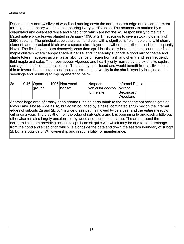Description: A narrow sliver of woodland running down the north-eastern edge of the compartment forming the boundary with the neighbouring livery yard/stables. The boundary is marked by a dilapidated and collapsed fence and silted ditch which are not the WT responsibility to maintain. Mixed native broadleaves planted in January 1996 at 2.1m spacings to give a stocking density of 2250 trees/ha. The principal species are ash and oak, with a significant field maple and wild cherry element, and occasional birch over a sparse shrub layer of hawthorn, blackthorn, and less frequently Hazel. The field layer is less dense/vigorous than cpt 1 but the only bare patches occur under field maple clusters where canopy shade is dense, and it generally supports a good mix of coarse and shade tolerant species as well as an abundance of regen from ash and cherry and less frequently field maple and oakg. The trees appear vigorous and healthy only marred by the extensive squirrel damage to the field maple canopies. The canopy has closed and would benefit from a silvicultural thin to favour the best stems and increase structural diversity in the shrub layer by bringing on the seedlings and resulting stump regeneration below.

| 2c | $0.46$ Open | 1996 Non-wood | No/poor                    | Informal Public |  |
|----|-------------|---------------|----------------------------|-----------------|--|
|    | around      | habitat       | vehicular access   Access, |                 |  |
|    |             |               | to the site                | Secondary       |  |
|    |             |               |                            | <b>Woodland</b> |  |

Another large area of grassy open ground running north-south to the management access gate at Mays Lane. Not as wide as 1c, but again bounded by a hazel dominated shrub mix on the internal edges of subcpts 2a and 2b. A 4m wide grass path is mowed twice a year and the entire meadow cut once a year. The blackthorn on the edge of sub-cpts a and b is beginning to encroach a little but otherwise remains largely uncolonised by woodland pioneers or scrub. The area around the northern field gate providing access to cpt 1 can sit quite wet which may be due to poor drainage from the pond and silted ditch which lie alongside the gate and down the eastern boundary of subcpt 2b but are outside of WT ownership and responsibility for maintenance.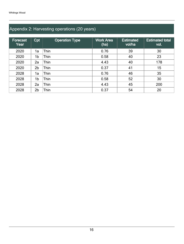## Appendix 2: Harvesting operations (20 years)

| Forecast<br>Year | Cpt            | <b>Operation Type</b> | <b>Work Area</b><br>(ha) | <b>Estimated</b><br>vol/ha | <b>Estimated total</b><br>vol. |
|------------------|----------------|-----------------------|--------------------------|----------------------------|--------------------------------|
| 2020             | 1a             | Thin                  | 0.76                     | 39                         | 30                             |
| 2020             | 1b             | Thin                  | 0.58                     | 40                         | 23                             |
| 2020             | 2a             | Thin                  | 4.43                     | 40                         | 178                            |
| 2020             | 2 <sub>b</sub> | Thin                  | 0.37                     | 41                         | 15                             |
| 2028             | 1a             | Thin                  | 0.76                     | 46                         | 35                             |
| 2028             | 1b             | Thin                  | 0.58                     | 52                         | 30                             |
| 2028             | 2a             | Thin                  | 4.43                     | 45                         | 200                            |
| 2028             | 2 <sub>b</sub> | Thin                  | 0.37                     | 54                         | 20                             |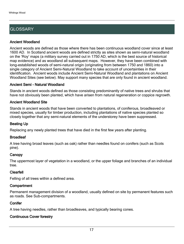## **GLOSSARY**

#### Ancient Woodland

Ancient woods are defined as those where there has been continuous woodland cover since at least 1600 AD. In Scotland ancient woods are defined strictly as sites shown as semi-natural woodland on the 'Roy' maps (a military survey carried out in 1750 AD, which is the best source of historical map evidence) and as woodland all subsequent maps. However, they have been combined with long-established woods of semi-natural origin (originating from between 1750 and 1860) into a single category of Ancient Semi-Natural Woodland to take account of uncertainties in their identification. Ancient woods include Ancient Semi-Natural Woodland and plantations on Ancient Woodland Sites (see below). May support many species that are only found in ancient woodland.

#### Ancient Semi - Natural Woodland

Stands in ancient woods defined as those consisting predominantly of native trees and shrubs that have not obviously been planted, which have arisen from natural regeneration or coppice regrowth.

#### Ancient Woodland Site

Stands in ancient woods that have been converted to plantations, of coniferous, broadleaved or mixed species, usually for timber production, including plantations of native species planted so closely together that any semi-natural elements of the understorey have been suppressed.

#### Beating Up

Replacing any newly planted trees that have died in the first few years after planting.

#### **Broadleaf**

A tree having broad leaves (such as oak) rather than needles found on conifers (such as Scots pine).

#### **Canopy**

The uppermost layer of vegetation in a woodland, or the upper foliage and branches of an individual tree.

#### Clearfell

Felling of all trees within a defined area.

#### **Compartment**

Permanent management division of a woodland, usually defined on site by permanent features such as roads. See Sub-compartments.

#### **Conifer**

A tree having needles, rather than broadleaves, and typically bearing cones.

### Continuous Cover forestry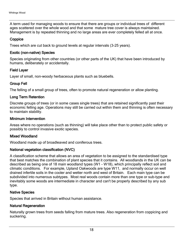A term used for managing woods to ensure that there are groups or individual trees of different ages scattered over the whole wood and that some mature tree cover is always maintained. Management is by repeated thinning and no large areas are ever completely felled all at once.

#### **Coppice**

Trees which are cut back to ground levels at regular intervals (3-25 years).

#### Exotic (non-native) Species

Species originating from other countries (or other parts of the UK) that have been introduced by humans, deliberately or accidentally.

#### Field Layer

Layer of small, non-woody herbaceous plants such as bluebells.

#### Group Fell

The felling of a small group of trees, often to promote natural regeneration or allow planting.

#### Long Term Retention

Discrete groups of trees (or in some cases single trees) that are retained significantly past their economic felling age. Operations may still be carried out within them and thinning is often necessary to maintain stability.

#### Minimum Intervention

Areas where no operations (such as thinning) will take place other than to protect public safety or possibly to control invasive exotic species.

#### Mixed Woodland

Woodland made up of broadleaved and coniferous trees.

#### National vegetation classification (NVC)

A classification scheme that allows an area of vegetation to be assigned to the standardised type that best matches the combination of plant species that it contains. All woodlands in the UK can be described as being one of 18 main woodland types (W1 - W18), which principally reflect soil and climatic conditions. For example, Upland Oakwoods are type W11, and normally occur on well drained infertile soils in the cooler and wetter north and west of Britain. Each main type can be subdivided into numerous subtypes. Most real woods contain more than one type or sub-type and inevitably some woods are intermediate in character and can't be properly described by any sub type.

#### Native Species

Species that arrived in Britain without human assistance.

#### Natural Regeneration

Naturally grown trees from seeds falling from mature trees. Also regeneration from coppicing and suckering.